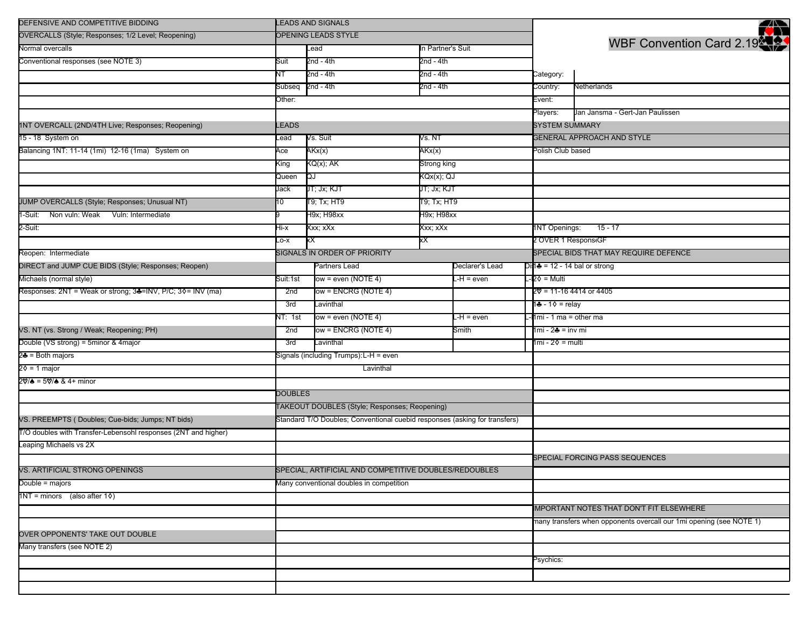| DEFENSIVE AND COMPETITIVE BIDDING                              |                                                                            | <b>LEADS AND SIGNALS</b>                              |                   |                  |                                      | ₩                                                                   |
|----------------------------------------------------------------|----------------------------------------------------------------------------|-------------------------------------------------------|-------------------|------------------|--------------------------------------|---------------------------------------------------------------------|
| OVERCALLS (Style; Responses; 1/2 Level; Reopening)             |                                                                            | OPENING LEADS STYLE                                   |                   |                  |                                      |                                                                     |
| Normal overcalls                                               |                                                                            | Lead                                                  | In Partner's Suit |                  | WBF Convention Card 2.19             |                                                                     |
| Conventional responses (see NOTE 3)                            | 2nd - 4th<br>2nd - 4th<br>Suit                                             |                                                       |                   |                  |                                      |                                                                     |
|                                                                | NT                                                                         | 2nd - 4th                                             | 2nd - 4th         |                  | Category:                            |                                                                     |
|                                                                | Subseq                                                                     | $2nd - 4th$                                           | 2nd - 4th         |                  | Country:                             | Netherlands                                                         |
|                                                                | Other:                                                                     |                                                       |                   |                  | Event:                               |                                                                     |
|                                                                |                                                                            |                                                       |                   |                  | Players:                             | Jan Jansma - Gert-Jan Paulissen                                     |
| 1NT OVERCALL (2ND/4TH Live; Responses; Reopening)              | <b>LEADS</b>                                                               |                                                       |                   |                  | <b>SYSTEM SUMMARY</b>                |                                                                     |
| 15 - 18 System on                                              | _ead                                                                       | Vs. Suit                                              | Vs. NT            |                  |                                      | <b>GENERAL APPROACH AND STYLE</b>                                   |
| Balancing 1NT: 11-14 (1mi) 12-16 (1ma) System on               | Ace                                                                        | AKx(x)                                                | AKx(x)            |                  | Polish Club based                    |                                                                     |
|                                                                | King                                                                       | KQ(x); AK                                             | Strong king       |                  |                                      |                                                                     |
|                                                                | Queen                                                                      | QJ                                                    | KQx(x); QJ        |                  |                                      |                                                                     |
|                                                                | Jack                                                                       | JT; Jx; KJT                                           | JT; Jx; KJT       |                  |                                      |                                                                     |
| JUMP OVERCALLS (Style; Responses; Unusual NT)                  | 10                                                                         | T9; Tx; HT9                                           | T9; Tx; HT9       |                  |                                      |                                                                     |
| -Suit: Non vuln: Weak Vuln: Intermediate                       |                                                                            | H9x; H98xx                                            | H9x; H98xx        |                  |                                      |                                                                     |
| 2-Suit:                                                        | Hi-x                                                                       | Xxx; xXx                                              | Xxx; xXx          |                  | 1NT Openings:                        | $15 - 17$                                                           |
|                                                                | Lo-x                                                                       | xХ                                                    | χX                |                  | 2 OVER 1 Respons(GF                  |                                                                     |
| Reopen: Intermediate                                           |                                                                            | SIGNALS IN ORDER OF PRIORITY                          |                   |                  |                                      | SPECIAL BIDS THAT MAY REQUIRE DEFENCE                               |
| DIRECT and JUMP CUE BIDS (Style; Responses; Reopen)            |                                                                            | Partners Lead                                         |                   | Declarer's Lead  | Di <b>1♣</b> = 12 - 14 bal or strong |                                                                     |
| Michaels (normal style)                                        | Suit:1st                                                                   | $low = even (NOTE 4)$                                 |                   | L-H = even       | ·2♦ = Multi                          |                                                                     |
| Responses: 2NT = Weak or strong; 34=INV, P/C; 30= INV (ma)     | 2nd                                                                        | ow = ENCRG (NOTE 4)                                   |                   |                  |                                      | 2♡ = 11-16 4414 or 4405                                             |
|                                                                | 3rd                                                                        | _avinthal                                             |                   |                  | 1♣ - 1♦ = relay                      |                                                                     |
|                                                                | NT: 1st                                                                    | $low = even (NOTE 4)$                                 |                   | L-H = even       | 1mi - 1 ma = other ma                |                                                                     |
| VS. NT (vs. Strong / Weak; Reopening; PH)                      | 2nd                                                                        | low = ENCRG (NOTE 4)                                  |                   | Smith            | 1mi - 2♣ = inv mi                    |                                                                     |
| Double (VS strong) = 5minor & 4major                           | 3rd                                                                        | _avinthal                                             |                   | 1mi - 20 = multi |                                      |                                                                     |
| 2♣ = Both majors                                               |                                                                            | Signals (including Trumps):L-H = even                 |                   |                  |                                      |                                                                     |
| 2♦ = 1 major                                                   |                                                                            | Lavinthal                                             |                   |                  |                                      |                                                                     |
| 2V/♠ = 5V/♠ & 4+ minor                                         |                                                                            |                                                       |                   |                  |                                      |                                                                     |
|                                                                | <b>DOUBLES</b>                                                             |                                                       |                   |                  |                                      |                                                                     |
|                                                                |                                                                            | TAKEOUT DOUBLES (Style; Responses; Reopening)         |                   |                  |                                      |                                                                     |
| VS. PREEMPTS (Doubles; Cue-bids; Jumps; NT bids)               | Standard T/O Doubles; Conventional cuebid responses (asking for transfers) |                                                       |                   |                  |                                      |                                                                     |
| T/O doubles with Transfer-Lebensohl responses (2NT and higher) |                                                                            |                                                       |                   |                  |                                      |                                                                     |
| Leaping Michaels vs 2X                                         |                                                                            |                                                       |                   |                  |                                      |                                                                     |
|                                                                |                                                                            |                                                       |                   |                  |                                      | SPECIAL FORCING PASS SEQUENCES                                      |
| VS. ARTIFICIAL STRONG OPENINGS                                 |                                                                            | SPECIAL, ARTIFICIAL AND COMPETITIVE DOUBLES/REDOUBLES |                   |                  |                                      |                                                                     |
| Double = majors                                                |                                                                            | Many conventional doubles in competition              |                   |                  |                                      |                                                                     |
| $1NT = minors$ (also after $1\diamond$ )                       |                                                                            |                                                       |                   |                  |                                      |                                                                     |
|                                                                |                                                                            |                                                       |                   |                  |                                      | <b>IMPORTANT NOTES THAT DON'T FIT ELSEWHERE</b>                     |
|                                                                |                                                                            |                                                       |                   |                  |                                      | many transfers when opponents overcall our 1mi opening (see NOTE 1) |
| OVER OPPONENTS' TAKE OUT DOUBLE                                |                                                                            |                                                       |                   |                  |                                      |                                                                     |
| Many transfers (see NOTE 2)                                    |                                                                            |                                                       |                   |                  |                                      |                                                                     |
|                                                                |                                                                            |                                                       |                   |                  | Psychics:                            |                                                                     |
|                                                                |                                                                            |                                                       |                   |                  |                                      |                                                                     |
|                                                                |                                                                            |                                                       |                   |                  |                                      |                                                                     |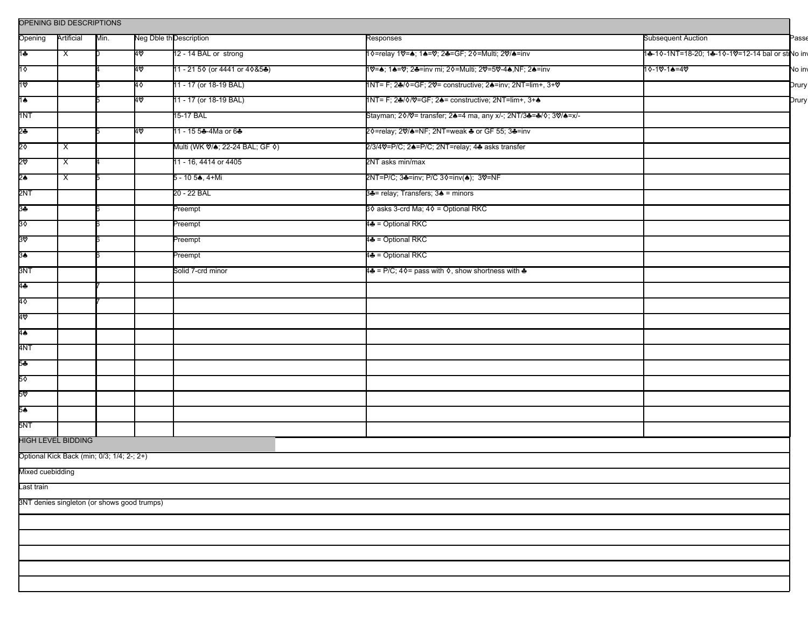| Opening          | Artificial                                 | Min. |                                             | Neg Dble th Description                       | Responses                                                        | <b>Subsequent Auction</b>                       | Passe  |
|------------------|--------------------------------------------|------|---------------------------------------------|-----------------------------------------------|------------------------------------------------------------------|-------------------------------------------------|--------|
| 1♣               | $\overline{\mathsf{x}}$                    |      | 40                                          | 12 - 14 BAL or strong                         | 1 0=relay 10 = 4; 14=0; 24=GF; 20=Multi; 20/4=inv                | 1♣-1◊-1NT=18-20; 1♣-1◊-1♡=12-14 bal or stNo inv |        |
| $1\diamond$      |                                            |      | 40                                          | 11 - 21 5 0 (or 4441 or 4 0 & 5 $\clubsuit$ ) | 1♡=▲; 1▲=♡; 2♣=inv mi; 2◊=Multi; 2♡=5♡-4♠,NF; 2♠=inv             | 10-10-1♠=40                                     | No inv |
| 10               |                                            |      | 40                                          | 11 - 17 (or 18-19 BAL)                        | 1NT= F; 24/ 0= GF; 2V= constructive; 24=inv; 2NT=lim+, 3+V       |                                                 | Drury  |
| 1♠               |                                            |      | 4∨                                          | 11 - 17 (or 18-19 BAL)                        | 1NT= F; 24/0/0=GF; 24= constructive; 2NT=lim+, 3+4               |                                                 | Drury  |
| 1NT              |                                            |      |                                             | 15-17 BAL                                     | Stayman; 20/0 = transfer; 24=4 ma, any x/-; 2NT/34=4/0; 30/4=x/- |                                                 |        |
| 2♣               |                                            |      | 4∨                                          | 11 - 15 5♣-4Ma or 6♣                          | 2 0=relay; 2 %/ A=NF; 2NT=weak & or GF 55; 3 &=inv               |                                                 |        |
| 2٥               | $\boldsymbol{\mathsf{X}}$                  |      |                                             | Multi (WK ♡/♠; 22-24 BAL; GF ♦)               | 2/3/40=P/C; 24=P/C; 2NT=relay; 44 asks transfer                  |                                                 |        |
| 2ত               | $\overline{\mathsf{x}}$                    |      |                                             | 11 - 16, 4414 or 4405                         | 2NT asks min/max                                                 |                                                 |        |
| 2♠               | $\overline{\mathsf{x}}$                    |      |                                             | 5 - 10 5♠, 4+Mi                               | 2NT=P/C; 3♣=inv; P/C 3♦=inv(♠); 3♡=NF                            |                                                 |        |
| 2NT              |                                            |      |                                             | 20 - 22 BAL                                   | 34 = relay; Transfers; 34 = minors                               |                                                 |        |
| 3♣               |                                            |      |                                             | Preempt                                       | 3♦ asks 3-crd Ma; 4♦ = Optional RKC                              |                                                 |        |
| 30               |                                            |      |                                             | Preempt                                       | 4+ = Optional RKC                                                |                                                 |        |
| 30               |                                            |      |                                             | Preempt                                       | 4♣ = Optional RKC                                                |                                                 |        |
| 3♠               |                                            |      |                                             | Preempt                                       | 4- = Optional RKC                                                |                                                 |        |
| 3NT              |                                            |      |                                             | Solid 7-crd minor                             | 4♣ = P/C; 4♦= pass with ♦, show shortness with ♣                 |                                                 |        |
| 4♣               |                                            |      |                                             |                                               |                                                                  |                                                 |        |
| 4♦               |                                            |      |                                             |                                               |                                                                  |                                                 |        |
| 4⊘               |                                            |      |                                             |                                               |                                                                  |                                                 |        |
| 4♠               |                                            |      |                                             |                                               |                                                                  |                                                 |        |
| 4NT              |                                            |      |                                             |                                               |                                                                  |                                                 |        |
| 5÷               |                                            |      |                                             |                                               |                                                                  |                                                 |        |
| 5٥               |                                            |      |                                             |                                               |                                                                  |                                                 |        |
| 5ত               |                                            |      |                                             |                                               |                                                                  |                                                 |        |
| 5♠               |                                            |      |                                             |                                               |                                                                  |                                                 |        |
| 5NT              |                                            |      |                                             |                                               |                                                                  |                                                 |        |
|                  | <b>HIGH LEVEL BIDDING</b>                  |      |                                             |                                               |                                                                  |                                                 |        |
|                  | Optional Kick Back (min; 0/3; 1/4; 2-; 2+) |      |                                             |                                               |                                                                  |                                                 |        |
| Mixed cuebidding |                                            |      |                                             |                                               |                                                                  |                                                 |        |
| Last train       |                                            |      |                                             |                                               |                                                                  |                                                 |        |
|                  |                                            |      | 3NT denies singleton (or shows good trumps) |                                               |                                                                  |                                                 |        |
|                  |                                            |      |                                             |                                               |                                                                  |                                                 |        |
|                  |                                            |      |                                             |                                               |                                                                  |                                                 |        |
|                  |                                            |      |                                             |                                               |                                                                  |                                                 |        |
|                  |                                            |      |                                             |                                               |                                                                  |                                                 |        |
|                  |                                            |      |                                             |                                               |                                                                  |                                                 |        |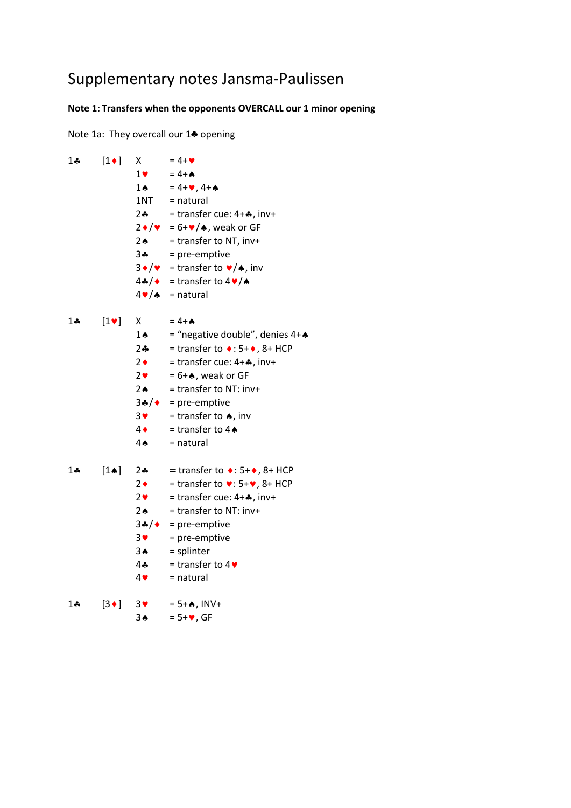## Supplementary notes Jansma‐Paulissen

## **Note 1: Transfers when the opponents OVERCALL our 1 minor opening**

Note 1a: They overcall our 1♣ opening

| $1 -$ | $[1\bullet]$     | Χ                        | $= 4 + 9$                                                             |
|-------|------------------|--------------------------|-----------------------------------------------------------------------|
|       |                  | $1$ v                    | $= 4 + A$                                                             |
|       |                  | $1 \spadesuit$           | $= 4 + 9, 4 + 4$                                                      |
|       |                  | 1NT                      | = natural                                                             |
|       |                  |                          | 2. = transfer cue: $4 + 4$ , inv+                                     |
|       |                  |                          | $2\bullet/\bullet = 6+\bullet/\bullet$ , weak or GF                   |
|       |                  | $2 \spadesuit$           | = transfer to NT, inv+                                                |
|       |                  |                          | $3\clubsuit$ = pre-emptive                                            |
|       |                  |                          | $3\bullet/\bullet$ = transfer to $\bullet/\bullet$ , inv              |
|       |                  |                          | $4\clubsuit/\bullet$ = transfer to $4\blacktriangledown/\bullet$      |
|       |                  |                          | $4 \vee / \lozenge$ = natural                                         |
| 1♣    | $[1$ $\vee$      | X                        | $= 4 + A$                                                             |
|       |                  | $1 \spadesuit$           | = "negative double", denies 4+A                                       |
|       |                  | $2 - 1$                  | = transfer to $\bullet$ : 5+ $\bullet$ , 8+ HCP                       |
|       |                  | $2 \bullet$              | = transfer cue: $4+A$ , inv+                                          |
|       |                  | 2 <sub>v</sub>           | $= 6 + A$ , weak or GF                                                |
|       |                  | $2 \spadesuit$           | = transfer to NT: inv+                                                |
|       |                  |                          | $3\clubsuit/\spadesuit$ = pre-emptive                                 |
|       |                  | $3$ $\blacktriangledown$ | = transfer to $\spadesuit$ , inv                                      |
|       |                  | $4 \bullet$              | = transfer to $4\spadesuit$                                           |
|       |                  | $4 \spadesuit$           | $=$ natural                                                           |
|       |                  |                          |                                                                       |
| $1 -$ | $[1 \spadesuit]$ | $2 -$                    | $=$ transfer to $\bullet$ : 5+ $\bullet$ , 8+ HCP                     |
|       |                  | $2 \bullet$              | = transfer to $\blacktriangledown$ : 5+ $\blacktriangledown$ , 8+ HCP |
|       |                  | 2 <sub>v</sub>           | $=$ transfer cue: $4 +$ . inv+                                        |
|       |                  | 2A                       | $=$ transfer to NT: inv+                                              |
|       |                  | $3$ * $/$ $\bullet$      | = pre-emptive                                                         |
|       |                  | $3$ $\blacktriangledown$ | = pre-emptive                                                         |
|       |                  | $3^$                     | = splinter                                                            |
|       |                  | 4÷                       | = transfer to $4\blacktriangleright$                                  |
|       |                  | 4                        | $=$ natural                                                           |
| 1♣    | $[3\bullet]$     | 3                        | $= 5 + A$ , INV+                                                      |
|       |                  | 3 <sub>th</sub>          | $= 5 + 9$ , GF                                                        |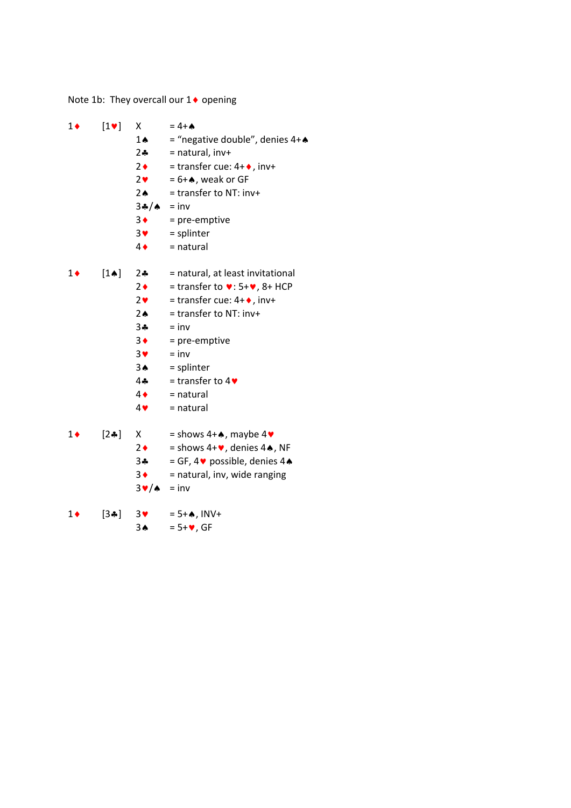Note 1b: They overcall our  $1\blacklozenge$  opening

| $1\bullet$ | $[1\vee]$       | Χ                        | $= 4 + A$                                                             |
|------------|-----------------|--------------------------|-----------------------------------------------------------------------|
|            |                 | $1 \spadesuit$           | = "negative double", denies 4+4                                       |
|            |                 | $2 - 1$                  | $=$ natural, inv+                                                     |
|            |                 | $2 \bullet$              | = transfer cue: $4 + \bullet$ , inv+                                  |
|            |                 | $2$ $\blacktriangledown$ | $= 6 + A$ , weak or GF                                                |
|            |                 | $2 \spadesuit$           | $=$ transfer to NT: inv+                                              |
|            |                 | $34/4 = inv$             |                                                                       |
|            |                 | $3 \bullet$              | = pre-emptive                                                         |
|            |                 | 3 <sub>Y</sub>           | = splinter                                                            |
|            |                 | $4\bullet$               | = natural                                                             |
| $1\bullet$ | $[1\spadesuit]$ | $2 - 1$                  | = natural, at least invitational                                      |
|            |                 | $2 \bullet$              | = transfer to $\blacktriangledown$ : 5+ $\blacktriangledown$ , 8+ HCP |
|            |                 | $2$ $\bullet$            | = transfer cue: $4 + \diamond$ , inv+                                 |
|            |                 | $2 \spadesuit$           | = transfer to NT: inv+                                                |
|            |                 | 3♣                       | $=$ inv                                                               |
|            |                 | $3 \bullet$              | = pre-emptive                                                         |
|            |                 | $3$ V                    | $=$ inv                                                               |
|            |                 | 3 <sub>•</sub>           | $=$ splinter                                                          |
|            |                 | 44                       | = transfer to $4\blacktriangledown$                                   |
|            |                 | $4\bullet$               | $=$ natural                                                           |
|            |                 | 4                        | = natural                                                             |
| $1\bullet$ | $[2\clubsuit]$  | X.                       | $=$ shows 4+ $\spadesuit$ , maybe 4 $\spadesuit$                      |
|            |                 | $2 \bullet$              | = shows $4 + \bullet$ , denies $4 \spadesuit$ , NF                    |
|            |                 | $3 -$                    | = GF, 4 $\blacktriangleright$ possible, denies 4 $\blacktriangle$     |
|            |                 | $3 \bullet$              | = natural, inv, wide ranging                                          |
|            |                 | 3♥/♠                     | $=$ inv                                                               |
| 1♦         | $[3 \cdot 4]$   | $3$ $\blacktriangledown$ | $= 5 + A, INV +$                                                      |
|            |                 | 3♠                       | $= 5 + 9$ , GF                                                        |
|            |                 |                          |                                                                       |
|            |                 |                          |                                                                       |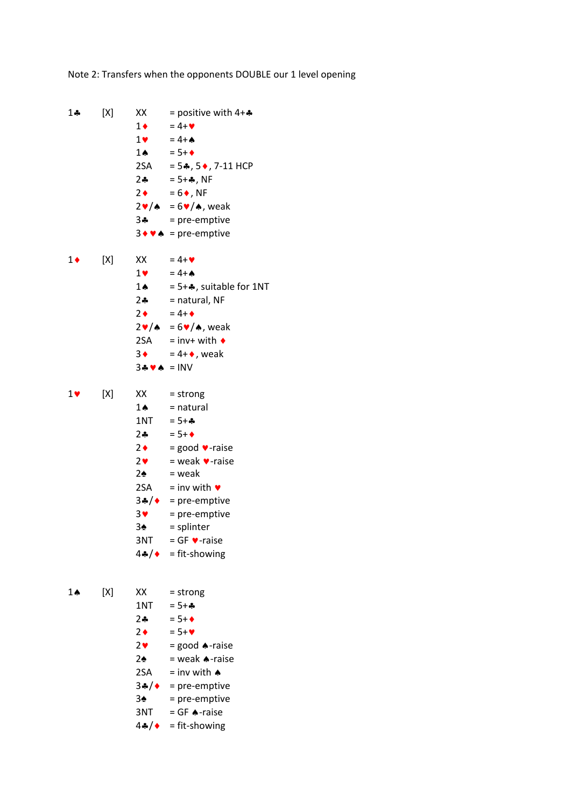Note 2: Transfers when the opponents DOUBLE our 1 level opening

1.4  $[X]$  XX = positive with 4+.4  $1 \bullet = 4 + \bullet$  $1 \bullet = 4 + \bullet$ 1 $\triangle$  = 5+ $\triangle$ 2SA =  $5*, 5*, 7-11$  HCP  $2 - 5 +$ , NF  $2 \bullet = 6 \bullet$ , NF  $2\mathbf{v}/\mathbf{A} = 6\mathbf{v}/\mathbf{A}$ , weak  $3 -$  = pre-emptive  $3 \cdot \cdot \cdot$  = pre-emptive 1  $[X]$   $XX = 4+\mathbf{V}$  $1 \bullet = 4 + \bullet$ 1.  $= 5 + 4$ , suitable for 1NT  $2 - 2$  = natural, NF  $2 \bullet = 4 + \bullet$  $2\nabla/\mathbf{A} = 6\nabla/\mathbf{A}$ , weak  $2SA = inv+ with$  $3 \bullet = 4 + \bullet$ , weak  $34$   $\bullet$  = INV  $1 \bullet$  [X] XX = strong  $1 \spadesuit$  = natural 1NT =  $5 + 4$  $2 - 5 + 1$  $2 \bullet$  = good  $\bullet$ -raise  $2 \cdot \cdot \cdot$  = weak  $\cdot \cdot$  -raise  $2\spadesuit$  = weak 2SA = inv with  $\bullet$  $3*/ \bullet$  = pre-emptive  $3 \cdot \cdot \cdot$  = pre-emptive  $3\spadesuit$  = splinter  $3NT = GF$  v-raise  $4*/ \bullet = \text{fit-showing}$  $1 \spadesuit$  [X] XX = strong 1NT =  $5 + 4$  $2 - 5 + 1$  $2 \bullet = 5 + \bullet$  $2 \cdot \cdot$  = good  $\bullet$ -raise  $2\spadesuit$  = weak  $\spadesuit$ -raise 2SA = inv with  $\triangle$  $3*/ \bullet$  = pre-emptive  $3\spadesuit$  = pre-emptive  $3NT = GF$  A-raise 4 $\clubsuit/\bullet$  = fit-showing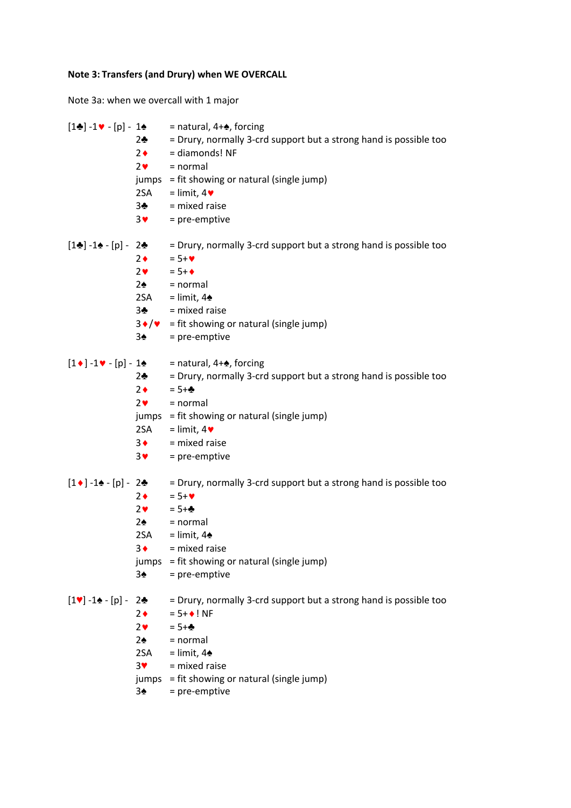## **Note 3: Transfers (and Drury) when WE OVERCALL**

Note 3a: when we overcall with 1 major

|                                                   | $2\clubsuit$<br>$2 \bullet$<br>2 <sub>v</sub><br>2SA<br>3 <sub>2</sub><br>$3$ $\blacktriangledown$                                                                           | $[1\clubsuit] -1\blacktriangleright - [p] - 1\spadesuit$ = natural, 4+ $\spadesuit$ , forcing<br>= Drury, normally 3-crd support but a strong hand is possible too<br>= diamonds! NF<br>$=$ normal<br>jumps = fit showing or natural (single jump)<br>$=$ limit, 4 $\blacktriangledown$<br>= mixed raise<br>= pre-emptive |
|---------------------------------------------------|------------------------------------------------------------------------------------------------------------------------------------------------------------------------------|---------------------------------------------------------------------------------------------------------------------------------------------------------------------------------------------------------------------------------------------------------------------------------------------------------------------------|
| $[1\clubsuit] - 1\spadesuit - [p] - 2\clubsuit$   | $2 \bullet$<br>$2$ $\bullet$<br>$2\spadesuit$<br>2SA and a strong term of the set of the set of the set of the set of the set of the set of the set o<br>3♣<br>$3\spadesuit$ | = Drury, normally 3-crd support but a strong hand is possible too<br>$= 5 + 9$<br>$= 5 + 1$<br>$=$ normal<br>= limit, $4\spadesuit$<br>= mixed raise<br>$3 \cdot / \cdot$ = fit showing or natural (single jump)<br>= pre-emptive                                                                                         |
| $[1\bullet]$ -1 $\bullet$ - [p] - 1 $\bullet$     | $2 - 2$<br>$2 \bullet$<br>2 <sub>v</sub><br>jumps<br>2SA<br>$3 \bullet$<br>3 <sub>Y</sub>                                                                                    | = natural, $4 + \spadesuit$ , forcing<br>= Drury, normally 3-crd support but a strong hand is possible too<br>$= 5 + 4$<br>= normal<br>= fit showing or natural (single jump)<br>$=$ limit, 4 $\blacktriangleright$<br>= mixed raise<br>= pre-emptive                                                                     |
| $[1 \bullet ] - 1 \bullet - [p] - 2 \bullet$      | $2 \bullet$<br>$2$ $\bullet$<br>$2\spadesuit$<br>2SA<br>$3\blacklozenge$<br>jumps<br>$3\spadesuit$                                                                           | = Drury, normally 3-crd support but a strong hand is possible too<br>$= 5 + 9$<br>$= 5 + 4$<br>$=$ normal<br>$=$ limit, 4 $\triangle$<br>= mixed raise<br>= fit showing or natural (single jump)<br>= pre-emptive                                                                                                         |
| $[1\mathbf{V}] - 1\mathbf{A} - [p] - 2\mathbf{A}$ | $2\bullet$<br>2 <sub>v</sub><br>$2\spadesuit$<br>2SA<br>3 <sup>4</sup><br>jumps<br>$3\spadesuit$                                                                             | = Drury, normally 3-crd support but a strong hand is possible too<br>$= 5 + 1$ NF<br>$= 5 + 4$<br>$=$ normal<br>= limit, $4\spadesuit$<br>= mixed raise<br>= fit showing or natural (single jump)<br>= pre-emptive                                                                                                        |